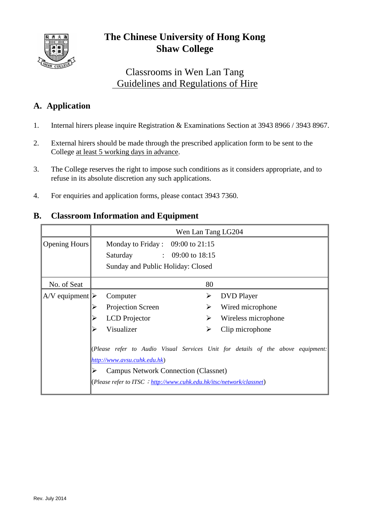

# **The Chinese University of Hong Kong Shaw College**

## Classrooms in Wen Lan Tang Guidelines and Regulations of Hire

### **A. Application**

- 1. Internal hirers please inquire Registration & Examinations Section at 3943 8966 / 3943 8967.
- 2. External hirers should be made through the prescribed application form to be sent to the College at least 5 working days in advance.
- 3. The College reserves the right to impose such conditions as it considers appropriate, and to refuse in its absolute discretion any such applications.
- 4. For enquiries and application forms, please contact 3943 7360.

#### **B. Classroom Information and Equipment**

|                                  | Wen Lan Tang LG204                                                                                                                                                                                                                     |                          |  |  |
|----------------------------------|----------------------------------------------------------------------------------------------------------------------------------------------------------------------------------------------------------------------------------------|--------------------------|--|--|
| Opening Hours                    | Monday to Friday : $09:00$ to 21:15<br>Saturday : 09:00 to 18:15<br>Sunday and Public Holiday: Closed                                                                                                                                  |                          |  |  |
| No. of Seat                      |                                                                                                                                                                                                                                        | 80                       |  |  |
| $A/V$ equipment $\triangleright$ | Computer                                                                                                                                                                                                                               | ➤<br><b>DVD</b> Player   |  |  |
|                                  | Projection Screen                                                                                                                                                                                                                      | Wired microphone<br>⋗    |  |  |
|                                  | <b>LCD</b> Projector                                                                                                                                                                                                                   | Wireless microphone<br>⋗ |  |  |
|                                  | Visualizer                                                                                                                                                                                                                             | Clip microphone<br>≻     |  |  |
|                                  | (Please refer to Audio Visual Services Unit for details of the above equipment:<br>http://www.avsu.cuhk.edu.hk)<br><b>Campus Network Connection (Classnet)</b><br>(Please refer to ITSC: http://www.cuhk.edu.hk/itsc/network/classnet) |                          |  |  |